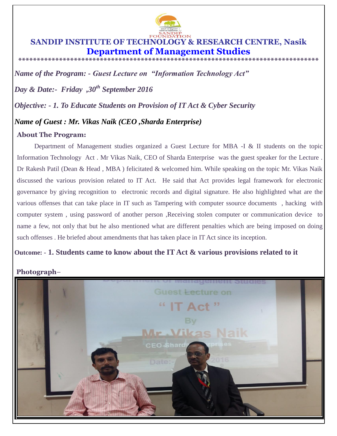

## **SANDIP INSTITUTE OF TECHNOLOGY & RESEARCH CENTRE, Nasik Department of Management Studies**

**\*\*\*\*\*\*\*\*\*\*\*\*\*\*\*\*\*\*\*\*\*\*\*\*\*\*\*\*\*\*\*\*\*\*\*\*\*\*\*\*\*\*\*\*\*\*\*\*\*\*\*\*\*\*\*\*\*\*\*\*\*\*\*\*\*\*\*\*\*\*\*\*\*\*\*\*\*\*\*\*\*** *Name of the Program: - Guest Lecture on "Information Technology Act" Day & Date:- Friday ,30th September 2016 Objective: - 1. To Educate Students on Provision of IT Act & Cyber Security Name of Guest : Mr. Vikas Naik (CEO ,Sharda Enterprise)*

## **About The Program:**

Department of Management studies organized a Guest Lecture for MBA -I & II students on the topic Information Technology Act . Mr Vikas Naik, CEO of Sharda Enterprise was the guest speaker for the Lecture . Dr Rakesh Patil (Dean & Head , MBA ) felicitated & welcomed him. While speaking on the topic Mr. Vikas Naik discussed the various provision related to IT Act. He said that Act provides legal framework for electronic governance by giving recognition to eelectronic records and digital signature. He also highlighted what are the various offenses that can take place in IT such as Tampering with computer [ss](https://en.wikipedia.org/wiki/Source_code)ource documents , hacking with computer system , using password of another person ,Receiving stolen computer or communication device to name a few, not only that but he also mentioned what are different penalties which are being imposed on doing such offenses . He briefed about amendments that has taken place in IT Act since its inception.

## **Outcome: - 1. Students came to know about the IT Act & various provisions related to it**

**Photograph**–

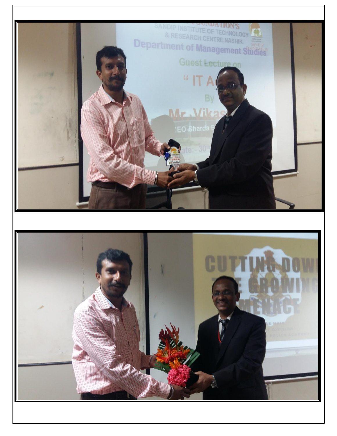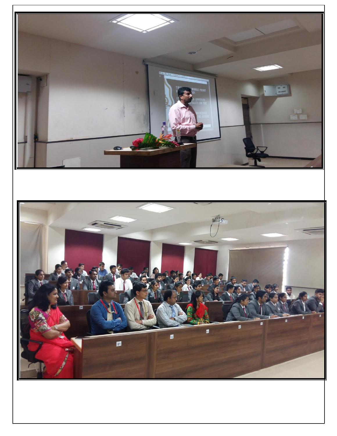